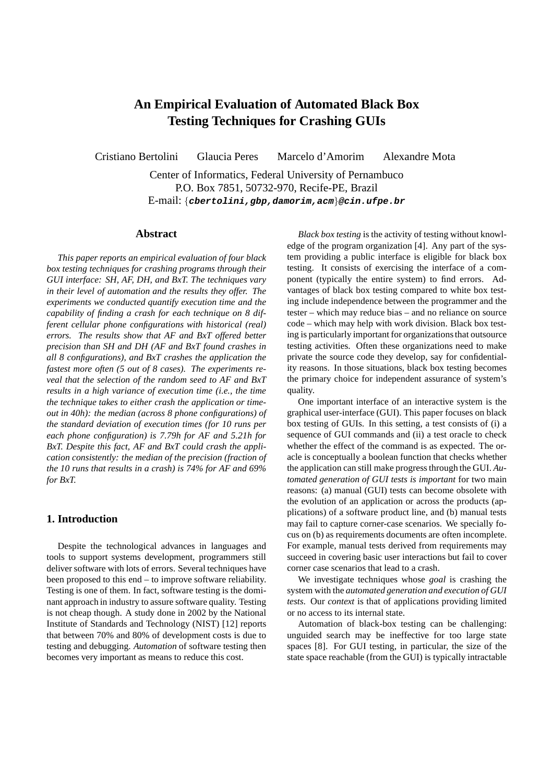# **An Empirical Evaluation of Automated Black Box Testing Techniques for Crashing GUIs**

Cristiano Bertolini Glaucia Peres Marcelo d'Amorim Alexandre Mota

Center of Informatics, Federal University of Pernambuco P.O. Box 7851, 50732-970, Recife-PE, Brazil E-mail: {**cbertolini,gbp,damorim,acm**}**@cin.ufpe.br**

## **Abstract**

*This paper reports an empirical evaluation of four black box testing techniques for crashing programs through their GUI interface: SH, AF, DH, and BxT. The techniques vary in their level of automation and the results they offer. The experiments we conducted quantify execution time and the capability of finding a crash for each technique on 8 different cellular phone configurations with historical (real) errors. The results show that AF and BxT offered better precision than SH and DH (AF and BxT found crashes in all 8 configurations), and BxT crashes the application the fastest more often (5 out of 8 cases). The experiments reveal that the selection of the random seed to AF and BxT results in a high variance of execution time (i.e., the time the technique takes to either crash the application or timeout in 40h): the median (across 8 phone configurations) of the standard deviation of execution times (for 10 runs per each phone configuration) is 7.79h for AF and 5.21h for BxT. Despite this fact, AF and BxT could crash the application consistently: the median of the precision (fraction of the 10 runs that results in a crash) is 74% for AF and 69% for BxT.*

## **1. Introduction**

Despite the technological advances in languages and tools to support systems development, programmers still deliver software with lots of errors. Several techniques have been proposed to this end – to improve software reliability. Testing is one of them. In fact, software testing is the dominant approach in industry to assure software quality. Testing is not cheap though. A study done in 2002 by the National Institute of Standards and Technology (NIST) [12] reports that between 70% and 80% of development costs is due to testing and debugging. *Automation* of software testing then becomes very important as means to reduce this cost.

*Black box testing* is the activity of testing without knowledge of the program organization [4]. Any part of the system providing a public interface is eligible for black box testing. It consists of exercising the interface of a component (typically the entire system) to find errors. Advantages of black box testing compared to white box testing include independence between the programmer and the tester – which may reduce bias – and no reliance on source code – which may help with work division. Black box testing is particularly important for organizations that outsource testing activities. Often these organizations need to make private the source code they develop, say for confidentiality reasons. In those situations, black box testing becomes the primary choice for independent assurance of system's quality.

One important interface of an interactive system is the graphical user-interface (GUI). This paper focuses on black box testing of GUIs. In this setting, a test consists of (i) a sequence of GUI commands and (ii) a test oracle to check whether the effect of the command is as expected. The oracle is conceptually a boolean function that checks whether the application can still make progress through the GUI. *Automated generation of GUI tests is important* for two main reasons: (a) manual (GUI) tests can become obsolete with the evolution of an application or across the products (applications) of a software product line, and (b) manual tests may fail to capture corner-case scenarios. We specially focus on (b) as requirements documents are often incomplete. For example, manual tests derived from requirements may succeed in covering basic user interactions but fail to cover corner case scenarios that lead to a crash.

We investigate techniques whose *goal* is crashing the system with the *automated generation and execution of GUI tests*. Our *context* is that of applications providing limited or no access to its internal state.

Automation of black-box testing can be challenging: unguided search may be ineffective for too large state spaces [8]. For GUI testing, in particular, the size of the state space reachable (from the GUI) is typically intractable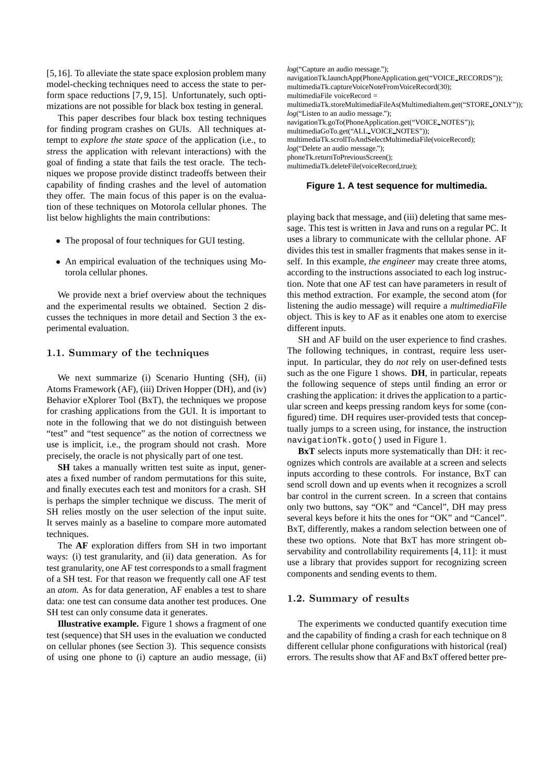[5,16]. To alleviate the state space explosion problem many model-checking techniques need to access the state to perform space reductions [7, 9, 15]. Unfortunately, such optimizations are not possible for black box testing in general.

This paper describes four black box testing techniques for finding program crashes on GUIs. All techniques attempt to *explore the state space* of the application (i.e., to *stress* the application with relevant interactions) with the goal of finding a state that fails the test oracle. The techniques we propose provide distinct tradeoffs between their capability of finding crashes and the level of automation they offer. The main focus of this paper is on the evaluation of these techniques on Motorola cellular phones. The list below highlights the main contributions:

- The proposal of four techniques for GUI testing.
- An empirical evaluation of the techniques using Motorola cellular phones.

We provide next a brief overview about the techniques and the experimental results we obtained. Section 2 discusses the techniques in more detail and Section 3 the experimental evaluation.

#### 1.1. Summary of the techniques

We next summarize (i) Scenario Hunting (SH), (ii) Atoms Framework (AF), (iii) Driven Hopper (DH), and (iv) Behavior eXplorer Tool (BxT), the techniques we propose for crashing applications from the GUI. It is important to note in the following that we do not distinguish between "test" and "test sequence" as the notion of correctness we use is implicit, i.e., the program should not crash. More precisely, the oracle is not physically part of one test.

**SH** takes a manually written test suite as input, generates a fixed number of random permutations for this suite, and finally executes each test and monitors for a crash. SH is perhaps the simpler technique we discuss. The merit of SH relies mostly on the user selection of the input suite. It serves mainly as a baseline to compare more automated techniques.

The **AF** exploration differs from SH in two important ways: (i) test granularity, and (ii) data generation. As for test granularity, one AF test corresponds to a small fragment of a SH test. For that reason we frequently call one AF test an *atom*. As for data generation, AF enables a test to share data: one test can consume data another test produces. One SH test can only consume data it generates.

**Illustrative example.** Figure 1 shows a fragment of one test (sequence) that SH uses in the evaluation we conducted on cellular phones (see Section 3). This sequence consists of using one phone to (i) capture an audio message, (ii) *log*("Capture an audio message."); navigationTk.launchApp(PhoneApplication.get("VOICE RECORDS")); multimediaTk.captureVoiceNoteFromVoiceRecord(30); multimediaFile voiceRecord = multimediaTk.storeMultimediaFileAs(MultimediaItem.get("STORE ONLY")); *log*("Listen to an audio message."); navigationTk.goTo(PhoneApplication.get("VOICE NOTES")); multimediaGoTo.get("ALL VOICE NOTES")); multimediaTk.scrollToAndSelectMultimediaFile(voiceRecord); *log*("Delete an audio message."); phoneTk.returnToPreviousScreen(); multimediaTk.deleteFile(voiceRecord,true);

#### **Figure 1. A test sequence for multimedia.**

playing back that message, and (iii) deleting that same message. This test is written in Java and runs on a regular PC. It uses a library to communicate with the cellular phone. AF divides this test in smaller fragments that makes sense in itself. In this example, *the engineer* may create three atoms, according to the instructions associated to each log instruction. Note that one AF test can have parameters in result of this method extraction. For example, the second atom (for listening the audio message) will require a *multimediaFile* object. This is key to AF as it enables one atom to exercise different inputs.

SH and AF build on the user experience to find crashes. The following techniques, in contrast, require less userinput. In particular, they do *not* rely on user-defined tests such as the one Figure 1 shows. **DH**, in particular, repeats the following sequence of steps until finding an error or crashing the application: it drives the application to a particular screen and keeps pressing random keys for some (configured) time. DH requires user-provided tests that conceptually jumps to a screen using, for instance, the instruction navigationTk.goto() used in Figure 1.

**BxT** selects inputs more systematically than DH: it recognizes which controls are available at a screen and selects inputs according to these controls. For instance, BxT can send scroll down and up events when it recognizes a scroll bar control in the current screen. In a screen that contains only two buttons, say "OK" and "Cancel", DH may press several keys before it hits the ones for "OK" and "Cancel". BxT, differently, makes a random selection between one of these two options. Note that BxT has more stringent observability and controllability requirements [4, 11]: it must use a library that provides support for recognizing screen components and sending events to them.

#### 1.2. Summary of results

The experiments we conducted quantify execution time and the capability of finding a crash for each technique on 8 different cellular phone configurations with historical (real) errors. The results show that AF and BxT offered better pre-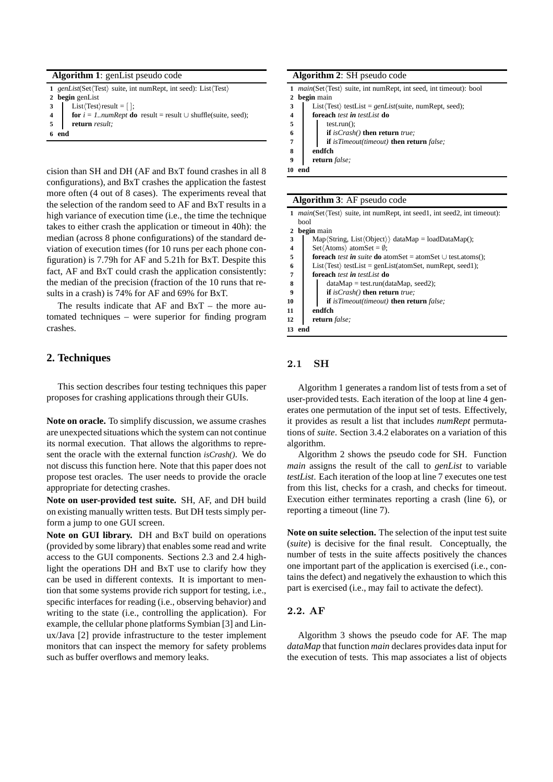#### **Algorithm 1**: genList pseudo code

|  | 1 genList(Set $\langle Test \rangle$ suite, int numRept, int seed): List $\langle Test \rangle$ |  |  |  |  |  |  |  |  |
|--|-------------------------------------------------------------------------------------------------|--|--|--|--|--|--|--|--|
|--|-------------------------------------------------------------------------------------------------|--|--|--|--|--|--|--|--|

- **2 begin** genList
- **3** List $\langle Test\rangle$ result =  $[$   $]$ ;
- **4 for**  $i = 1...numRent$  **do** result = result ∪ shuffle(suite, seed);
- **5 return** *result;*
- **6 end**

cision than SH and DH (AF and BxT found crashes in all 8

configurations), and BxT crashes the application the fastest more often (4 out of 8 cases). The experiments reveal that the selection of the random seed to AF and BxT results in a high variance of execution time (i.e., the time the technique takes to either crash the application or timeout in 40h): the median (across 8 phone configurations) of the standard deviation of execution times (for 10 runs per each phone configuration) is 7.79h for AF and 5.21h for BxT. Despite this fact, AF and BxT could crash the application consistently: the median of the precision (fraction of the 10 runs that results in a crash) is 74% for AF and 69% for BxT.

The results indicate that AF and BxT – the more automated techniques – were superior for finding program crashes.

# **2. Techniques**

This section describes four testing techniques this paper proposes for crashing applications through their GUIs.

**Note on oracle.** To simplify discussion, we assume crashes are unexpected situations which the system can not continue its normal execution. That allows the algorithms to represent the oracle with the external function *isCrash()*. We do not discuss this function here. Note that this paper does not propose test oracles. The user needs to provide the oracle appropriate for detecting crashes.

**Note on user-provided test suite.** SH, AF, and DH build on existing manually written tests. But DH tests simply perform a jump to one GUI screen.

**Note on GUI library.** DH and BxT build on operations (provided by some library) that enables some read and write access to the GUI components. Sections 2.3 and 2.4 highlight the operations DH and BxT use to clarify how they can be used in different contexts. It is important to mention that some systems provide rich support for testing, i.e., specific interfaces for reading (i.e., observing behavior) and writing to the state (i.e., controlling the application). For example, the cellular phone platforms Symbian [3] and Linux/Java [2] provide infrastructure to the tester implement monitors that can inspect the memory for safety problems such as buffer overflows and memory leaks.

#### **Algorithm 2**: SH pseudo code

- **1**  $main$ (Set $\langle Test \rangle$  suite, int numRept, int seed, int timeout): bool
- **2 begin** main
- 3 List $\langle Test \rangle$  testList = *genList*(suite, numRept, seed);
- **4 foreach** *test in testList* **do**
- $\overline{\phantom{a}}$  **5**  $\overline{\phantom{a}}$  test.run():
- **6 if** *isCrash()* **then return** *true;*
- **7 if** *isTimeout(timeout)* **then return** *false;*
- **8 endfch**
- **9 return** *false;*
- **10 end**

## **Algorithm 3**: AF pseudo code

- 1 *main*(Set $\langle Test \rangle$  suite, int numRept, int seed1, int seed2, int timeout): bool **2 begin** main **3** Map $\langle$ String, List $\langle$ Object $\rangle$  dataMap = loadDataMap();
- **4** Set $\overline{A}$ toms**)** atomSet = Ø;
- **5 foreach** *test in suite* **do** atomSet = atomSet ∪ test.atoms();
- **6** List $\langle Test \rangle$  testList = genList(atomSet, numRept, seed1);
- **7 foreach** *test in testList* **do**
- 8 dataMap = test.run(dataMap, seed2);
- **9 if** *isCrash()* **then return** *true;*
- **10 if** *isTimeout(timeout)* **then return** *false;*
- **11 endfch**
- **12 return** *false;*

**13 end**

## 2.1 SH

Algorithm 1 generates a random list of tests from a set of user-provided tests. Each iteration of the loop at line 4 generates one permutation of the input set of tests. Effectively, it provides as result a list that includes *numRept* permutations of *suite*. Section 3.4.2 elaborates on a variation of this algorithm.

Algorithm 2 shows the pseudo code for SH. Function *main* assigns the result of the call to *genList* to variable *testList*. Each iteration of the loop at line 7 executes one test from this list, checks for a crash, and checks for timeout. Execution either terminates reporting a crash (line 6), or reporting a timeout (line 7).

**Note on suite selection.** The selection of the input test suite (*suite*) is decisive for the final result. Conceptually, the number of tests in the suite affects positively the chances one important part of the application is exercised (i.e., contains the defect) and negatively the exhaustion to which this part is exercised (i.e., may fail to activate the defect).

## 2.2. AF

Algorithm 3 shows the pseudo code for AF. The map *dataMap* that function *main* declares provides data input for the execution of tests. This map associates a list of objects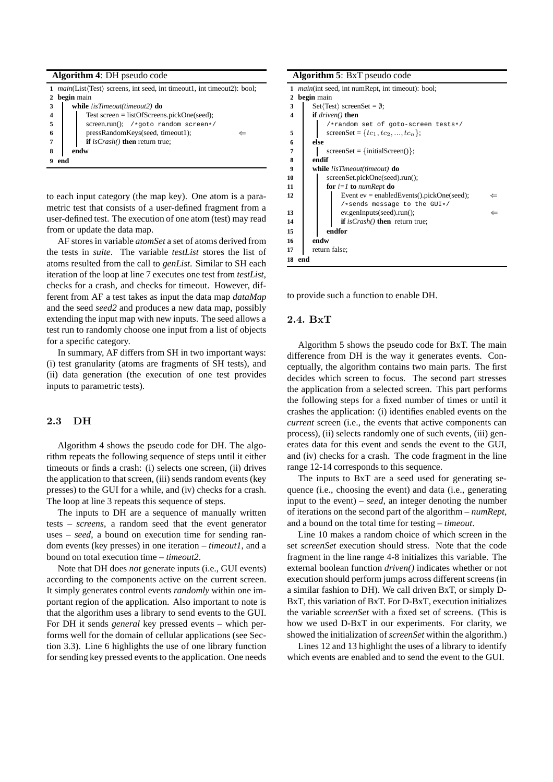|              | 1 <i>main</i> (List(Test) screens, int seed, int timeout1, int timeout2): bool; |  |  |  |  |  |  |  |  |
|--------------|---------------------------------------------------------------------------------|--|--|--|--|--|--|--|--|
| $\mathbf{2}$ | begin main                                                                      |  |  |  |  |  |  |  |  |
| 3            | while !isTimeout(timeout2) do                                                   |  |  |  |  |  |  |  |  |
| 4            | Test screen = $listOfScreens.pickOne(seed);$                                    |  |  |  |  |  |  |  |  |
| 5            | screen.run(); /*goto random screen*/                                            |  |  |  |  |  |  |  |  |
| 6            | pressRandomKeys(seed, timeout1);                                                |  |  |  |  |  |  |  |  |
| 7            | if $isCrash()$ then return true;                                                |  |  |  |  |  |  |  |  |
|              | endw                                                                            |  |  |  |  |  |  |  |  |
|              | end                                                                             |  |  |  |  |  |  |  |  |

to each input category (the map key). One atom is a parametric test that consists of a user-defined fragment from a user-defined test. The execution of one atom (test) may read from or update the data map.

AF stores in variable *atomSet* a set of atoms derived from the tests in *suite*. The variable *testList* stores the list of atoms resulted from the call to *genList*. Similar to SH each iteration of the loop at line 7 executes one test from *testList*, checks for a crash, and checks for timeout. However, different from AF a test takes as input the data map *dataMap* and the seed *seed2* and produces a new data map, possibly extending the input map with new inputs. The seed allows a test run to randomly choose one input from a list of objects for a specific category.

In summary, AF differs from SH in two important ways: (i) test granularity (atoms are fragments of SH tests), and (ii) data generation (the execution of one test provides inputs to parametric tests).

# 2.3 DH

Algorithm 4 shows the pseudo code for DH. The algorithm repeats the following sequence of steps until it either timeouts or finds a crash: (i) selects one screen, (ii) drives the application to that screen, (iii) sends random events (key presses) to the GUI for a while, and (iv) checks for a crash. The loop at line 3 repeats this sequence of steps.

The inputs to DH are a sequence of manually written tests – *screens*, a random seed that the event generator uses – *seed*, a bound on execution time for sending random events (key presses) in one iteration – *timeout1*, and a bound on total execution time – *timeout2*.

Note that DH does *not* generate inputs (i.e., GUI events) according to the components active on the current screen. It simply generates control events *randomly* within one important region of the application. Also important to note is that the algorithm uses a library to send events to the GUI. For DH it sends *general* key pressed events – which performs well for the domain of cellular applications (see Section 3.3). Line 6 highlights the use of one library function for sending key pressed events to the application. One needs

**Algorithm 5**: BxT pseudo code

| 1                       |                    | <i>main</i> (int seed, int numRept, int timeout): bool; |  |  |  |  |  |  |  |  |  |
|-------------------------|--------------------|---------------------------------------------------------|--|--|--|--|--|--|--|--|--|
| 2                       | begin main         |                                                         |  |  |  |  |  |  |  |  |  |
| 3                       |                    | $Set \langle Test \rangle$ screenSet = $\emptyset$ ;    |  |  |  |  |  |  |  |  |  |
| $\overline{\mathbf{4}}$ | if $driven()$ then |                                                         |  |  |  |  |  |  |  |  |  |
|                         |                    | /*random set of goto-screen tests*/                     |  |  |  |  |  |  |  |  |  |
| 5                       |                    | screenSet = { $tc_1, tc_2, , tc_n$ };                   |  |  |  |  |  |  |  |  |  |
| 6                       | else               |                                                         |  |  |  |  |  |  |  |  |  |
| 7                       |                    | $screenSet = {initialScreen()};$                        |  |  |  |  |  |  |  |  |  |
| 8                       | endif              |                                                         |  |  |  |  |  |  |  |  |  |
| 9                       |                    | <b>while</b> !isTimeout(timeout) <b>do</b>              |  |  |  |  |  |  |  |  |  |
| 10                      |                    | screenSet.pickOne(seed).run();                          |  |  |  |  |  |  |  |  |  |
| 11                      |                    | for $i=1$ to numRept do                                 |  |  |  |  |  |  |  |  |  |
| 12                      |                    | Event $ev =$ enabled Events () pick One (seed);         |  |  |  |  |  |  |  |  |  |
|                         |                    | /*sends message to the GUI*/                            |  |  |  |  |  |  |  |  |  |
| 13                      |                    | ev.genInputs(seed).run();                               |  |  |  |  |  |  |  |  |  |
| 14                      |                    | if $isCrash()$ then return true;                        |  |  |  |  |  |  |  |  |  |
| 15                      | endfor             |                                                         |  |  |  |  |  |  |  |  |  |
| 16                      | endw               |                                                         |  |  |  |  |  |  |  |  |  |
| 17                      |                    | return false;                                           |  |  |  |  |  |  |  |  |  |
| 18                      | end                |                                                         |  |  |  |  |  |  |  |  |  |

to provide such a function to enable DH.

### 2.4. BxT

Algorithm 5 shows the pseudo code for BxT. The main difference from DH is the way it generates events. Conceptually, the algorithm contains two main parts. The first decides which screen to focus. The second part stresses the application from a selected screen. This part performs the following steps for a fixed number of times or until it crashes the application: (i) identifies enabled events on the *current* screen (i.e., the events that active components can process), (ii) selects randomly one of such events, (iii) generates data for this event and sends the event to the GUI, and (iv) checks for a crash. The code fragment in the line range 12-14 corresponds to this sequence.

The inputs to BxT are a seed used for generating sequence (i.e., choosing the event) and data (i.e., generating input to the event) – *seed*, an integer denoting the number of iterations on the second part of the algorithm – *numRept*, and a bound on the total time for testing – *timeout*.

Line 10 makes a random choice of which screen in the set *screenSet* execution should stress. Note that the code fragment in the line range 4-8 initializes this variable. The external boolean function *driven()* indicates whether or not execution should perform jumps across different screens (in a similar fashion to DH). We call driven BxT, or simply D-BxT, this variation of BxT. For D-BxT, execution initializes the variable *screenSet* with a fixed set of screens. (This is how we used D-BxT in our experiments. For clarity, we showed the initialization of *screenSet* within the algorithm.)

Lines 12 and 13 highlight the uses of a library to identify which events are enabled and to send the event to the GUI.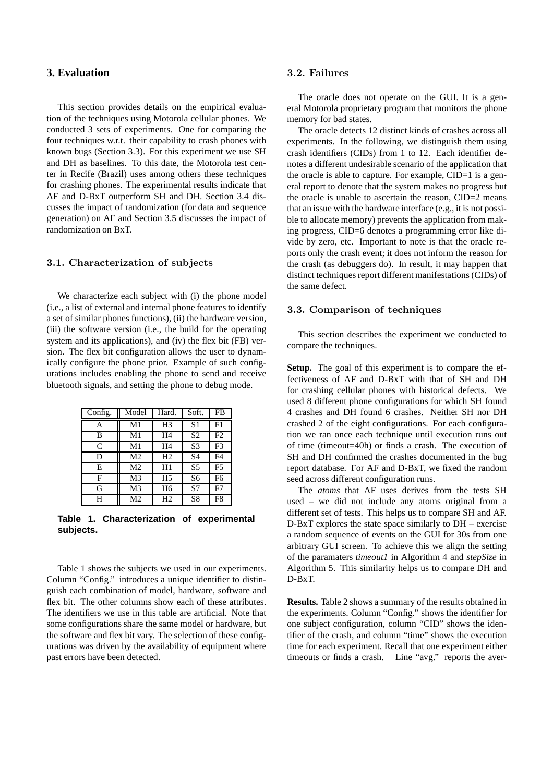# **3. Evaluation**

This section provides details on the empirical evaluation of the techniques using Motorola cellular phones. We conducted 3 sets of experiments. One for comparing the four techniques w.r.t. their capability to crash phones with known bugs (Section 3.3). For this experiment we use SH and DH as baselines. To this date, the Motorola test center in Recife (Brazil) uses among others these techniques for crashing phones. The experimental results indicate that AF and D-BxT outperform SH and DH. Section 3.4 discusses the impact of randomization (for data and sequence generation) on AF and Section 3.5 discusses the impact of randomization on BxT.

## 3.1. Characterization of subjects

We characterize each subject with (i) the phone model (i.e., a list of external and internal phone features to identify a set of similar phones functions), (ii) the hardware version, (iii) the software version (i.e., the build for the operating system and its applications), and (iv) the flex bit (FB) version. The flex bit configuration allows the user to dynamically configure the phone prior. Example of such configurations includes enabling the phone to send and receive bluetooth signals, and setting the phone to debug mode.

| Config. | Model | Hard.          | Soft.          | FB             |
|---------|-------|----------------|----------------|----------------|
| Α       | M1    | H <sub>3</sub> | S <sub>1</sub> | F1             |
| B       | M1    | H4             | S <sub>2</sub> | F <sub>2</sub> |
| C       | M1    | H4             | S <sub>3</sub> | F <sub>3</sub> |
| D       | M2    | H2             | S4             | F4             |
| E       | M2    | H1             | S <sub>5</sub> | F <sub>5</sub> |
| F       | M3    | H <sub>5</sub> | S6             | F6             |
| G       | M3    | H <sub>6</sub> | S7             | F7             |
| Н       | M2    | Η2             | S8             | F8             |

**Table 1. Characterization of experimental subjects.**

Table 1 shows the subjects we used in our experiments. Column "Config." introduces a unique identifier to distinguish each combination of model, hardware, software and flex bit. The other columns show each of these attributes. The identifiers we use in this table are artificial. Note that some configurations share the same model or hardware, but the software and flex bit vary. The selection of these configurations was driven by the availability of equipment where past errors have been detected.

## 3.2. Failures

The oracle does not operate on the GUI. It is a general Motorola proprietary program that monitors the phone memory for bad states.

The oracle detects 12 distinct kinds of crashes across all experiments. In the following, we distinguish them using crash identifiers (CIDs) from 1 to 12. Each identifier denotes a different undesirable scenario of the application that the oracle is able to capture. For example, CID=1 is a general report to denote that the system makes no progress but the oracle is unable to ascertain the reason, CID=2 means that an issue with the hardware interface (e.g., it is not possible to allocate memory) prevents the application from making progress, CID=6 denotes a programming error like divide by zero, etc. Important to note is that the oracle reports only the crash event; it does not inform the reason for the crash (as debuggers do). In result, it may happen that distinct techniques report different manifestations (CIDs) of the same defect.

## 3.3. Comparison of techniques

This section describes the experiment we conducted to compare the techniques.

**Setup.** The goal of this experiment is to compare the effectiveness of AF and D-BxT with that of SH and DH for crashing cellular phones with historical defects. We used 8 different phone configurations for which SH found 4 crashes and DH found 6 crashes. Neither SH nor DH crashed 2 of the eight configurations. For each configuration we ran once each technique until execution runs out of time (timeout=40h) or finds a crash. The execution of SH and DH confirmed the crashes documented in the bug report database. For AF and D-BxT, we fixed the random seed across different configuration runs.

The *atoms* that AF uses derives from the tests SH used – we did not include any atoms original from a different set of tests. This helps us to compare SH and AF. D-BxT explores the state space similarly to DH – exercise a random sequence of events on the GUI for 30s from one arbitrary GUI screen. To achieve this we align the setting of the paramaters *timeout1* in Algorithm 4 and *stepSize* in Algorithm 5. This similarity helps us to compare DH and D-BxT.

**Results.** Table 2 shows a summary of the results obtained in the experiments. Column "Config." shows the identifier for one subject configuration, column "CID" shows the identifier of the crash, and column "time" shows the execution time for each experiment. Recall that one experiment either timeouts or finds a crash. Line "avg." reports the aver-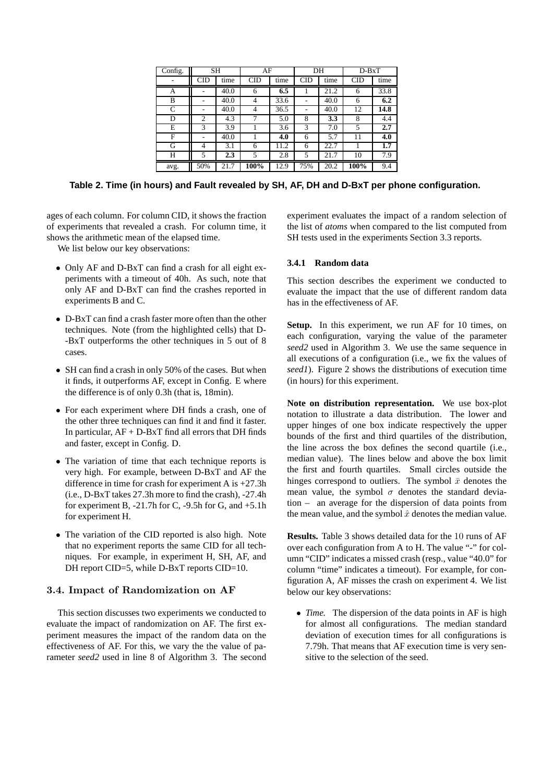| Config. | <b>SH</b>      |      | AF         |      | DH  |      | $D-BxT$    |      |  |
|---------|----------------|------|------------|------|-----|------|------------|------|--|
|         | <b>CID</b>     | time | <b>CID</b> | time | CID | time | <b>CID</b> | time |  |
| А       | -              | 40.0 | 6          | 6.5  |     | 21.2 | 6          | 33.8 |  |
| B       |                | 40.0 | 4          | 33.6 |     | 40.0 | 6          | 6.2  |  |
| C       |                | 40.0 | 4          | 36.5 |     | 40.0 | 12         | 14.8 |  |
| D       | $\overline{c}$ | 4.3  | 7          | 5.0  | 8   | 3.3  | 8          | 4.4  |  |
| E       | 3              | 3.9  |            | 3.6  | 3   | 7.0  | 5          | 2.7  |  |
| F       |                | 40.0 |            | 4.0  | 6   | 5.7  | 11         | 4.0  |  |
| G       | 4              | 3.1  | 6          | 11.2 | 6   | 22.7 |            | 1.7  |  |
| Н       | 5              | 2.3  | 5          | 2.8  | 5   | 21.7 | 10         | 7.9  |  |
| avg.    | 50%            | 21.7 | 100%       | 12.9 | 75% | 20.2 | 100%       | 9.4  |  |

**Table 2. Time (in hours) and Fault revealed by SH, AF, DH and D-BxT per phone configuration.**

ages of each column. For column CID, it shows the fraction of experiments that revealed a crash. For column time, it shows the arithmetic mean of the elapsed time.

We list below our key observations:

- Only AF and D-BxT can find a crash for all eight experiments with a timeout of 40h. As such, note that only AF and D-BxT can find the crashes reported in experiments B and C.
- D-BxT can find a crash faster more often than the other techniques. Note (from the highlighted cells) that D- -BxT outperforms the other techniques in 5 out of 8 cases.
- SH can find a crash in only 50% of the cases. But when it finds, it outperforms AF, except in Config. E where the difference is of only 0.3h (that is, 18min).
- For each experiment where DH finds a crash, one of the other three techniques can find it and find it faster. In particular,  $AF + D-BxT$  find all errors that DH finds and faster, except in Config. D.
- The variation of time that each technique reports is very high. For example, between D-BxT and AF the difference in time for crash for experiment A is +27.3h (i.e., D-BxT takes 27.3h more to find the crash), -27.4h for experiment B,  $-21.7h$  for C,  $-9.5h$  for G, and  $+5.1h$ for experiment H.
- The variation of the CID reported is also high. Note that no experiment reports the same CID for all techniques. For example, in experiment H, SH, AF, and DH report CID=5, while D-BxT reports CID=10.

## 3.4. Impact of Randomization on AF

This section discusses two experiments we conducted to evaluate the impact of randomization on AF. The first experiment measures the impact of the random data on the effectiveness of AF. For this, we vary the the value of parameter *seed2* used in line 8 of Algorithm 3. The second experiment evaluates the impact of a random selection of the list of *atoms* when compared to the list computed from SH tests used in the experiments Section 3.3 reports.

#### **3.4.1 Random data**

This section describes the experiment we conducted to evaluate the impact that the use of different random data has in the effectiveness of AF.

Setup. In this experiment, we run AF for 10 times, on each configuration, varying the value of the parameter *seed2* used in Algorithm 3. We use the same sequence in all executions of a configuration (i.e., we fix the values of *seed1*). Figure 2 shows the distributions of execution time (in hours) for this experiment.

**Note on distribution representation.** We use box-plot notation to illustrate a data distribution. The lower and upper hinges of one box indicate respectively the upper bounds of the first and third quartiles of the distribution, the line across the box defines the second quartile (i.e., median value). The lines below and above the box limit the first and fourth quartiles. Small circles outside the hinges correspond to outliers. The symbol  $\bar{x}$  denotes the mean value, the symbol  $\sigma$  denotes the standard deviation – an average for the dispersion of data points from the mean value, and the symbol  $\hat{x}$  denotes the median value.

**Results.** Table 3 shows detailed data for the 10 runs of AF over each configuration from A to H. The value "-" for column "CID" indicates a missed crash (resp., value "40.0" for column "time" indicates a timeout). For example, for configuration A, AF misses the crash on experiment 4. We list below our key observations:

• *Time.* The dispersion of the data points in AF is high for almost all configurations. The median standard deviation of execution times for all configurations is 7.79h. That means that AF execution time is very sensitive to the selection of the seed.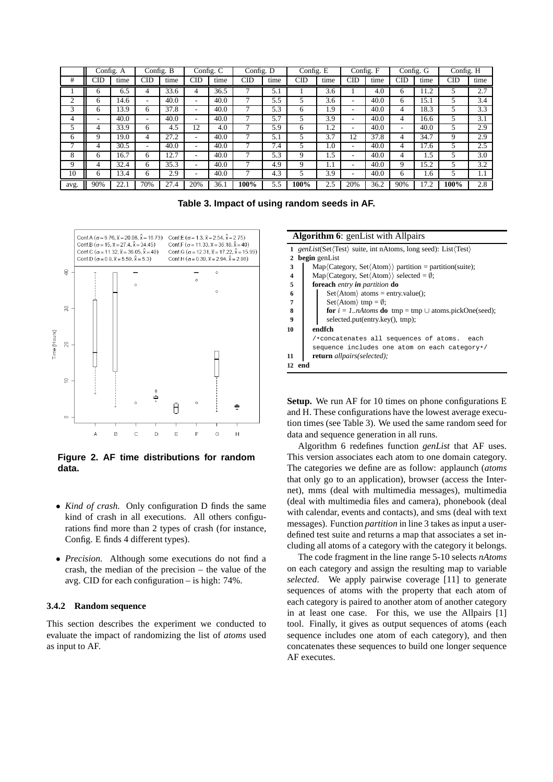|              | Config. A |      |              | Config. B |     | $\overline{\text{Config}}$ . C | Config. D  |      | Config. E |      |     | Config. F |     | Config. G | Config. H  |      |
|--------------|-----------|------|--------------|-----------|-----|--------------------------------|------------|------|-----------|------|-----|-----------|-----|-----------|------------|------|
| #            | CID       | time | <b>CID</b>   | time      | CID | time                           | <b>CID</b> | time | CID       | time | CID | time      | CID | time      | <b>CID</b> | time |
|              | 6         | 6.5  |              | 33.6      |     | 36.5                           |            | 5.1  |           | 3.6  |     | 4.0       | h   | 11.2      | 5          | 2.7  |
| ◠            | 6         | 14.6 |              | 40.0      | -   | 40.0                           |            | 5.5  | 5         | 3.6  | ۰   | 40.0      | 6   | 15.1      | 5          | 3.4  |
| 3            | 6         | 13.9 | 6            | 37.8      | ۰   | 40.0                           |            | 5.3  | 6         | 1.9  | ۰   | 40.0      | 4   | 18.3      |            | 3.3  |
| 4            | ۰         | 40.0 |              | 40.0      | ۰   | 40.0                           |            | 5.7  | 5         | 3.9  | ۰   | 40.0      |     | 16.6      | 5          | 3.1  |
|              | 4         | 33.9 | <sub>(</sub> | 4.5       | 12  | 4.0                            |            | 5.9  | 6         | 1.2  | ۰   | 40.0      |     | 40.0      | 5          | 2.9  |
| <sub>(</sub> | 9         | 19.0 | 4            | 27.2      | ۰   | 40.0                           |            | 5.1  | 5         | 3.7  | 12  | 37.8      | 4   | 34.7      | 9          | 2.9  |
|              | 4         | 30.5 |              | 40.0      | ۰   | 40.0                           |            | 7.4  | 5         | 1.0  | ۰   | 40.0      |     | 17.6      |            | 2.5  |
| 8            | 6         | 16.7 | 6            | 2.7       | ۰   | 40.0                           |            | 5.3  | 9         | 1.5  | ۰   | 40.0      |     | 1.5       | 5          | 3.0  |
| 9            | 4         | 32.4 | 6            | 35.3      |     | 40.0                           |            | 4.9  | 9         | 1.1  | ۰   | 40.0      | Q   | 15.2      | 5          | 3.2  |
| 10           | 6         | 13.4 | 6            | 2.9       | ۰   | 40.0                           |            | 4.3  |           | 3.9  | ۰   | 40.0      | h.  | 1.6       |            | 1.1  |
| avg.         | 90%       | 22.  | 70%          | 27.4      | 20% | 36.1                           | 100%       | 5.5  | 100%      | 2.5  | 20% | 36.2      | 90% | 17.2      | 100%       | 2.8  |

**Table 3. Impact of using random seeds in AF.**



**Figure 2. AF time distributions for random data.**

- *Kind of crash.* Only configuration D finds the same kind of crash in all executions. All others configurations find more than 2 types of crash (for instance, Config. E finds 4 different types).
- *Precision.* Although some executions do not find a crash, the median of the precision – the value of the avg. CID for each configuration – is high: 74%.

## **3.4.2 Random sequence**

This section describes the experiment we conducted to evaluate the impact of randomizing the list of *atoms* used as input to AF.

|                         | <b>Algorithm 6:</b> genList with Allpairs                                     |  |  |  |  |  |  |  |  |
|-------------------------|-------------------------------------------------------------------------------|--|--|--|--|--|--|--|--|
|                         | 1 genList(Set(Test) suite, int nAtoms, long seed): List(Test)                 |  |  |  |  |  |  |  |  |
| 2                       | <b>begin</b> genList                                                          |  |  |  |  |  |  |  |  |
| 3                       | $Map(Category, Set(Atom))$ partition = partition(suite);                      |  |  |  |  |  |  |  |  |
| $\overline{\mathbf{4}}$ | Map $\langle$ Category, Set $\langle$ Atom $\rangle$ selected = $\emptyset$ ; |  |  |  |  |  |  |  |  |
| 5                       | foreach entry in partition do                                                 |  |  |  |  |  |  |  |  |
| 6                       | $Set$ $(Atom)$ atoms = entry.value();                                         |  |  |  |  |  |  |  |  |
| $\overline{7}$          | $Set \langle Atom \rangle$ tmp = $\emptyset$ ;                                |  |  |  |  |  |  |  |  |
| 8                       | for $i = 1$ nAtoms do tmp = tmp $\cup$ atoms.pickOne(seed);                   |  |  |  |  |  |  |  |  |
| $\boldsymbol{Q}$        | selected.put(entry.key(), tmp);                                               |  |  |  |  |  |  |  |  |
| 10                      | endfch                                                                        |  |  |  |  |  |  |  |  |
|                         | /*concatenates all sequences of atoms.<br>each                                |  |  |  |  |  |  |  |  |
|                         | sequence includes one atom on each category*/                                 |  |  |  |  |  |  |  |  |
| 11                      | <b>return</b> allpairs(selected);                                             |  |  |  |  |  |  |  |  |
| 12 end                  |                                                                               |  |  |  |  |  |  |  |  |

**Setup.** We run AF for 10 times on phone configurations E and H. These configurations have the lowest average execution times (see Table 3). We used the same random seed for data and sequence generation in all runs.

Algorithm 6 redefines function *genList* that AF uses. This version associates each atom to one domain category. The categories we define are as follow: applaunch (*atoms* that only go to an application), browser (access the Internet), mms (deal with multimedia messages), multimedia (deal with multimedia files and camera), phonebook (deal with calendar, events and contacts), and sms (deal with text messages). Function *partition* in line 3 takes as input a userdefined test suite and returns a map that associates a set including all atoms of a category with the category it belongs.

The code fragment in the line range 5-10 selects *nAtoms* on each category and assign the resulting map to variable *selected*. We apply pairwise coverage [11] to generate sequences of atoms with the property that each atom of each category is paired to another atom of another category in at least one case. For this, we use the Allpairs [1] tool. Finally, it gives as output sequences of atoms (each sequence includes one atom of each category), and then concatenates these sequences to build one longer sequence AF executes.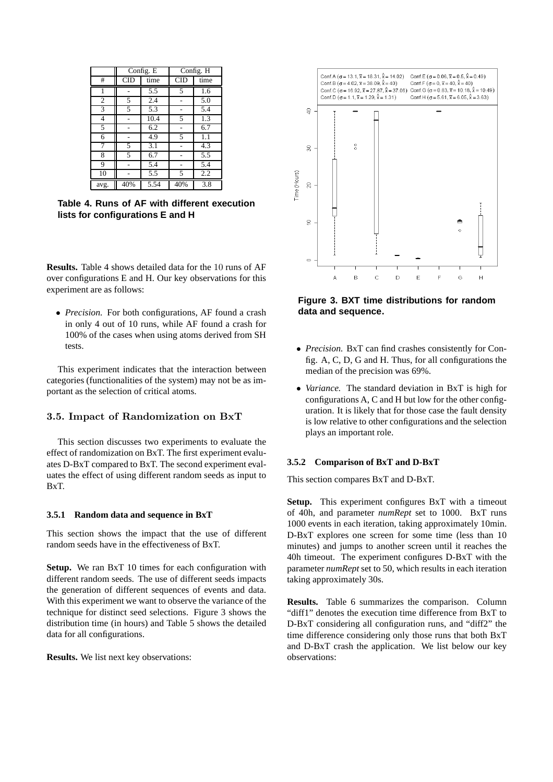|                |            | Config. E |            | Config. H |
|----------------|------------|-----------|------------|-----------|
| #              | <b>CID</b> | time      | <b>CID</b> | time      |
| 1              |            | 5.5       | 5          | 1.6       |
| $\overline{2}$ | 5          | 2.4       |            | 5.0       |
| $\overline{3}$ | 5          | 5.3       |            | 5.4       |
| 4              |            | 10.4      | 5          | 1.3       |
| 5              |            | 6.2       |            | 6.7       |
| 6              |            | 4.9       | 5          | 1.1       |
| 7              | 5          | 3.1       |            | 4.3       |
| 8              | 5          | 6.7       |            | 5.5       |
| 9              |            | 5.4       |            | 5.4       |
| 10             |            | 5.5       | 5          | 2.2       |
| avg.           | 40%        | 5.54      | 40%        | 3.8       |

**Table 4. Runs of AF with different execution lists for configurations E and H**

**Results.** Table 4 shows detailed data for the 10 runs of AF over configurations E and H. Our key observations for this experiment are as follows:

• *Precision*. For both configurations, AF found a crash in only 4 out of 10 runs, while AF found a crash for 100% of the cases when using atoms derived from SH tests.

This experiment indicates that the interaction between categories (functionalities of the system) may not be as important as the selection of critical atoms.

## 3.5. Impact of Randomization on BxT

This section discusses two experiments to evaluate the effect of randomization on BxT. The first experiment evaluates D-BxT compared to BxT. The second experiment evaluates the effect of using different random seeds as input to BxT.

#### **3.5.1 Random data and sequence in BxT**

This section shows the impact that the use of different random seeds have in the effectiveness of BxT.

**Setup.** We ran BxT 10 times for each configuration with different random seeds. The use of different seeds impacts the generation of different sequences of events and data. With this experiment we want to observe the variance of the technique for distinct seed selections. Figure 3 shows the distribution time (in hours) and Table 5 shows the detailed data for all configurations.

**Results.** We list next key observations:



**Figure 3. BXT time distributions for random data and sequence.**

- *Precision.* BxT can find crashes consistently for Config. A, C, D, G and H. Thus, for all configurations the median of the precision was 69%.
- *Variance.* The standard deviation in BxT is high for configurations A, C and H but low for the other configuration. It is likely that for those case the fault density is low relative to other configurations and the selection plays an important role.

#### **3.5.2 Comparison of BxT and D-BxT**

This section compares BxT and D-BxT.

**Setup.** This experiment configures BxT with a timeout of 40h, and parameter *numRept* set to 1000. BxT runs 1000 events in each iteration, taking approximately 10min. D-BxT explores one screen for some time (less than 10 minutes) and jumps to another screen until it reaches the 40h timeout. The experiment configures D-BxT with the parameter *numRept* set to 50, which results in each iteration taking approximately 30s.

**Results.** Table 6 summarizes the comparison. Column "diff1" denotes the execution time difference from BxT to D-BxT considering all configuration runs, and "diff2" the time difference considering only those runs that both BxT and D-BxT crash the application. We list below our key observations: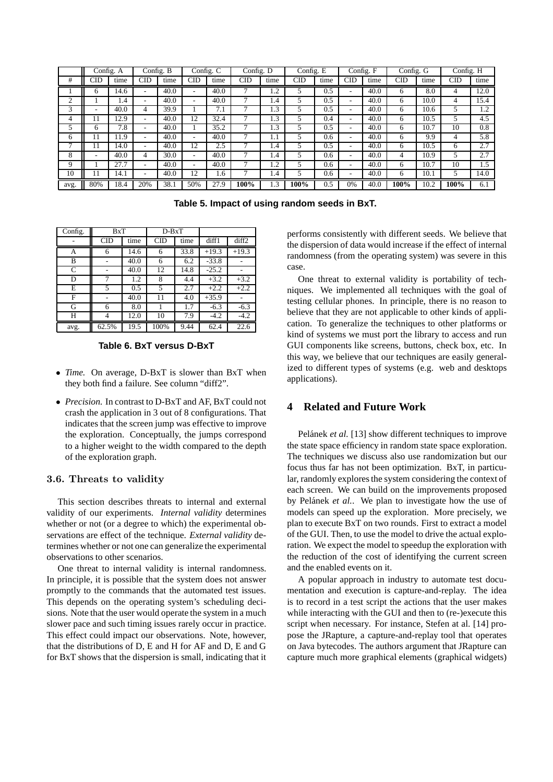|      |     | Config. A | Config. B                |      |     | Config. C | Config. D  |            | Config. E |      |            | Config. F | Config. G |      | Config. H  |      |
|------|-----|-----------|--------------------------|------|-----|-----------|------------|------------|-----------|------|------------|-----------|-----------|------|------------|------|
| #    | CID | time      | <b>CID</b>               | time | CID | time      | <b>CID</b> | time       | CID       | time | <b>CID</b> | time      | CID       | time | <b>CID</b> | time |
|      | h   | 14.6      |                          | 40.0 |     | 40.0      | ┑          | 1.2        |           | 0.5  | ۰          | 40.0      | 6         | 8.0  | 4          | 12.0 |
| ◠    |     | 1.4       | ۰.                       | 40.0 | ۰   | 40.0      |            | 1.4        |           | 0.5  | ٠          | 40.0      | 6         | 10.0 | 4          | 15.4 |
| 3    | ۰   | 40.0      |                          | 39.9 |     | 7.1       |            | 1.3        |           | 0.5  | ۰          | 40.0      | 6         | 10.6 |            | 1.2  |
| 4    | 11  | 12.9      | $\overline{\phantom{a}}$ | 40.0 | 12  | 32.4      | ⇁          | 1.3        |           | 0.4  | ۰          | 40.0      | 6         | 10.5 | 5          | 4.5  |
|      | h   | 7.8       | ۰.                       | 40.0 |     | 35.2      | ┑          | 1.3        |           | 0.5  | ۰          | 40.0      | 6         | 10.7 | 10         | 0.8  |
| 6    | 11  | 11.9      |                          | 40.0 |     | 40.0      |            | $1.1\,$    |           | 0.6  | ۰          | 40.0      | 6         | 9.9  | 4          | 5.8  |
| −    | 11  | 14.0      | ۰.                       | 40.0 | 12  | 2.5       | ⇁          | 1.4        | 5         | 0.5  | ۰          | 40.0      | 6         | 10.5 | 6          | 2.7  |
| 8    | ۰   | 40.0      |                          | 30.0 | ۰   | 40.0      |            | 1.4        |           | 0.6  | ۰          | 40.0      | 4         | 10.9 |            | 2.7  |
| Q    |     | 27.7      |                          | 40.0 | -   | 40.0      | ⇁          | $\cdot$ .2 |           | 0.6  | ۰          | 40.0      | 6         | 10.7 | 10         | 1.5  |
| 10   | 11  | 14.1      |                          | 40.0 | 12  | 1.6       |            | 1.4        |           | 0.6  | ۰          | 40.0      | 6         | 10.1 |            | 14.0 |
| avg. | 80% | 18.4      | 20%                      | 38.1 | 50% | 27.9      | 100%       | 1.3        | 100%      | 0.5  | 0%         | 40.0      | 100%      | 10.2 | 100%       | 6.1  |

**Table 5. Impact of using random seeds in BxT.**

| Config. | BxT   |      | $D-BxT$ |      |         |                   |
|---------|-------|------|---------|------|---------|-------------------|
|         | CID   | time | CID     | time | diff1   | diff <sub>2</sub> |
| А       | 6     | 14.6 | 6       | 33.8 | $+19.3$ | $+19.3$           |
| в       |       | 40.0 | 6       | 6.2  | $-33.8$ |                   |
| C       |       | 40.0 | 12      | 14.8 | $-25.2$ |                   |
| D       | 7     | 1.2  | 8       | 4.4  | $+3.2$  | $+3.2$            |
| E       | 5     | 0.5  | 5       | 2.7  | $+2.2$  | $+2.2$            |
| F       |       | 40.0 | 11      | 4.0  | $+35.9$ |                   |
| G       | 6     | 8.0  |         | 1.7  | $-6.3$  | $-6.3$            |
| Н       | 4     | 12.0 | 10      | 7.9  | $-4.2$  | $-4.2$            |
| avg.    | 62.5% | 19.5 | 100%    | 9.44 | 62.4    | 22.6              |

**Table 6. BxT versus D-BxT**

- *Time.* On average, D-BxT is slower than BxT when they both find a failure. See column "diff2".
- *Precision.* In contrast to D-BxT and AF, BxT could not crash the application in 3 out of 8 configurations. That indicates that the screen jump was effective to improve the exploration. Conceptually, the jumps correspond to a higher weight to the width compared to the depth of the exploration graph.

### 3.6. Threats to validity

This section describes threats to internal and external validity of our experiments. *Internal validity* determines whether or not (or a degree to which) the experimental observations are effect of the technique. *External validity* determines whether or not one can generalize the experimental observations to other scenarios.

One threat to internal validity is internal randomness. In principle, it is possible that the system does not answer promptly to the commands that the automated test issues. This depends on the operating system's scheduling decisions. Note that the user would operate the system in a much slower pace and such timing issues rarely occur in practice. This effect could impact our observations. Note, however, that the distributions of D, E and H for AF and D, E and G for BxT shows that the dispersion is small, indicating that it performs consistently with different seeds. We believe that the dispersion of data would increase if the effect of internal randomness (from the operating system) was severe in this case.

One threat to external validity is portability of techniques. We implemented all techniques with the goal of testing cellular phones. In principle, there is no reason to believe that they are not applicable to other kinds of application. To generalize the techniques to other platforms or kind of systems we must port the library to access and run GUI components like screens, buttons, check box, etc. In this way, we believe that our techniques are easily generalized to different types of systems (e.g. web and desktops applications).

# **4 Related and Future Work**

Pelánek *et al.* [13] show different techniques to improve the state space efficiency in random state space exploration. The techniques we discuss also use randomization but our focus thus far has not been optimization. BxT, in particular, randomly explores the system considering the context of each screen. We can build on the improvements proposed by Pelánek et al.. We plan to investigate how the use of models can speed up the exploration. More precisely, we plan to execute BxT on two rounds. First to extract a model of the GUI. Then, to use the model to drive the actual exploration. We expect the model to speedup the exploration with the reduction of the cost of identifying the current screen and the enabled events on it.

A popular approach in industry to automate test documentation and execution is capture-and-replay. The idea is to record in a test script the actions that the user makes while interacting with the GUI and then to (re-)execute this script when necessary. For instance, Stefen at al. [14] propose the JRapture, a capture-and-replay tool that operates on Java bytecodes. The authors argument that JRapture can capture much more graphical elements (graphical widgets)